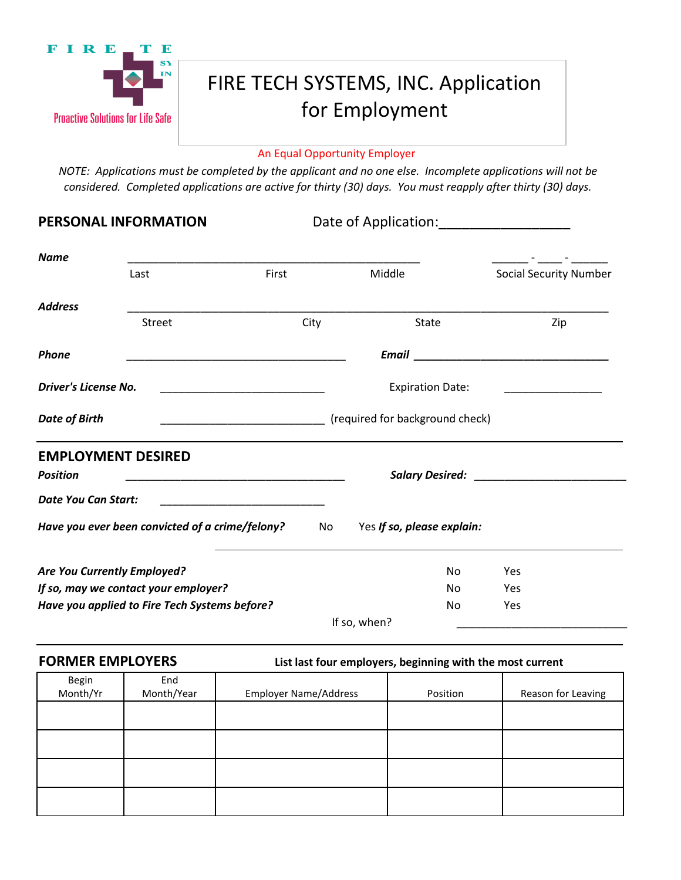

# FIRE TECH SYSTEMS, INC. Application for Employment

### An Equal Opportunity Employer

*NOTE: Applications must be completed by the applicant and no one else. Incomplete applications will not be considered. Completed applications are active for thirty (30) days. You must reapply after thirty (30) days.* 

PERSONAL INFORMATION Date of Application:

| <b>Name</b>                 |                                                 |                                                                                                                      |                            |                                                                                                                                                                                                                                    |
|-----------------------------|-------------------------------------------------|----------------------------------------------------------------------------------------------------------------------|----------------------------|------------------------------------------------------------------------------------------------------------------------------------------------------------------------------------------------------------------------------------|
|                             | Last                                            | First                                                                                                                | Middle                     | <b>Social Security Number</b>                                                                                                                                                                                                      |
| <b>Address</b>              |                                                 |                                                                                                                      |                            |                                                                                                                                                                                                                                    |
|                             | <b>Street</b>                                   | City                                                                                                                 | State                      | Zip                                                                                                                                                                                                                                |
| <b>Phone</b>                |                                                 |                                                                                                                      |                            | <b>Email</b> Email of the contract of the contract of the contract of the contract of the contract of the contract of the contract of the contract of the contract of the contract of the contract of the contract of the contract |
| Driver's License No.        |                                                 |                                                                                                                      | <b>Expiration Date:</b>    |                                                                                                                                                                                                                                    |
| <b>Date of Birth</b>        |                                                 |                                                                                                                      |                            |                                                                                                                                                                                                                                    |
|                             | <b>EMPLOYMENT DESIRED</b>                       |                                                                                                                      |                            |                                                                                                                                                                                                                                    |
| <b>Position</b>             |                                                 | <u> 1989 - Johann John Harry, mars eta bainar eta baina eta baina eta baina eta baina eta baina eta baina eta ba</u> |                            |                                                                                                                                                                                                                                    |
| <b>Date You Can Start:</b>  |                                                 |                                                                                                                      |                            |                                                                                                                                                                                                                                    |
|                             | Have you ever been convicted of a crime/felony? | No.                                                                                                                  | Yes If so, please explain: |                                                                                                                                                                                                                                    |
| Are You Currently Employed? |                                                 |                                                                                                                      | No                         | Yes                                                                                                                                                                                                                                |
|                             | If so, may we contact your employer?            |                                                                                                                      | No.                        | Yes                                                                                                                                                                                                                                |
|                             | Have you applied to Fire Tech Systems before?   |                                                                                                                      | No.                        | Yes                                                                                                                                                                                                                                |
|                             |                                                 |                                                                                                                      | If so, when?               |                                                                                                                                                                                                                                    |

**FORMER EMPLOYERS List last four employers, beginning with the most current**

| Begin    | End        |                              |          |                    |
|----------|------------|------------------------------|----------|--------------------|
| Month/Yr | Month/Year | <b>Employer Name/Address</b> | Position | Reason for Leaving |
|          |            |                              |          |                    |
|          |            |                              |          |                    |
|          |            |                              |          |                    |
|          |            |                              |          |                    |
|          |            |                              |          |                    |
|          |            |                              |          |                    |
|          |            |                              |          |                    |
|          |            |                              |          |                    |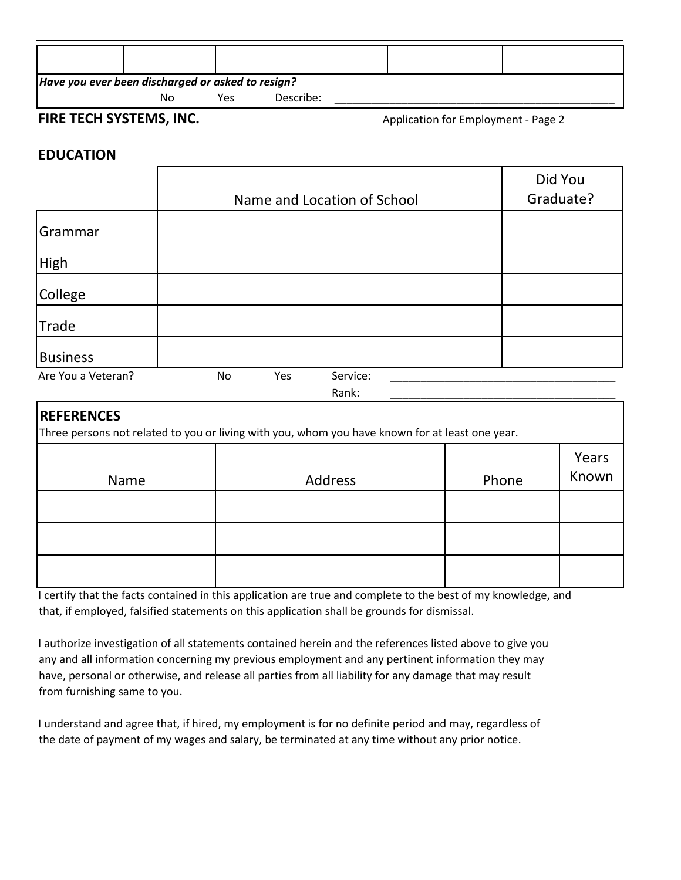| Have you ever been discharged or asked to resign? |    |     |           |  |  |
|---------------------------------------------------|----|-----|-----------|--|--|
|                                                   | No | Yes | Describe: |  |  |

## **FIRE TECH SYSTEMS, INC. Application for Employment - Page 2**

# **EDUCATION**

|                    |    |     |                             | Did You   |
|--------------------|----|-----|-----------------------------|-----------|
|                    |    |     | Name and Location of School | Graduate? |
| Grammar            |    |     |                             |           |
| High               |    |     |                             |           |
| College            |    |     |                             |           |
| Trade              |    |     |                             |           |
| <b>Business</b>    |    |     |                             |           |
| Are You a Veteran? | No | Yes | Service:                    |           |
|                    |    |     | Rank:                       |           |

# **REFERENCES**

Three persons not related to you or living with you, whom you have known for at least one year.

| Name | Address | Phone | Years<br>Known |
|------|---------|-------|----------------|
|      |         |       |                |
|      |         |       |                |
|      |         |       |                |

I certify that the facts contained in this application are true and complete to the best of my knowledge, and that, if employed, falsified statements on this application shall be grounds for dismissal.

I authorize investigation of all statements contained herein and the references listed above to give you any and all information concerning my previous employment and any pertinent information they may have, personal or otherwise, and release all parties from all liability for any damage that may result from furnishing same to you.

I understand and agree that, if hired, my employment is for no definite period and may, regardless of the date of payment of my wages and salary, be terminated at any time without any prior notice.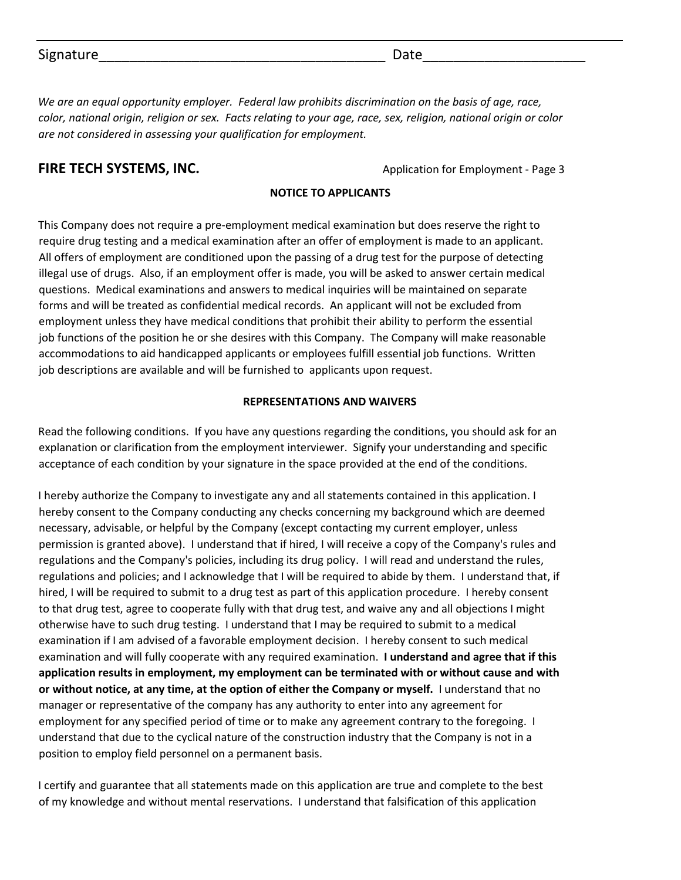| Signature<br>ate |
|------------------|
|------------------|

*We are an equal opportunity employer. Federal law prohibits discrimination on the basis of age, race, color, national origin, religion or sex. Facts relating to your age, race, sex, religion, national origin or color are not considered in assessing your qualification for employment.*

**FIRE TECH SYSTEMS, INC.** The state of the application for Employment - Page 3

### **NOTICE TO APPLICANTS**

This Company does not require a pre-employment medical examination but does reserve the right to require drug testing and a medical examination after an offer of employment is made to an applicant. All offers of employment are conditioned upon the passing of a drug test for the purpose of detecting illegal use of drugs. Also, if an employment offer is made, you will be asked to answer certain medical questions. Medical examinations and answers to medical inquiries will be maintained on separate forms and will be treated as confidential medical records. An applicant will not be excluded from employment unless they have medical conditions that prohibit their ability to perform the essential job functions of the position he or she desires with this Company. The Company will make reasonable accommodations to aid handicapped applicants or employees fulfill essential job functions. Written job descriptions are available and will be furnished to applicants upon request.

#### **REPRESENTATIONS AND WAIVERS**

Read the following conditions. If you have any questions regarding the conditions, you should ask for an explanation or clarification from the employment interviewer. Signify your understanding and specific acceptance of each condition by your signature in the space provided at the end of the conditions.

I hereby authorize the Company to investigate any and all statements contained in this application. I hereby consent to the Company conducting any checks concerning my background which are deemed necessary, advisable, or helpful by the Company (except contacting my current employer, unless permission is granted above). I understand that if hired, I will receive a copy of the Company's rules and regulations and the Company's policies, including its drug policy. I will read and understand the rules, regulations and policies; and I acknowledge that I will be required to abide by them. I understand that, if hired, I will be required to submit to a drug test as part of this application procedure. I hereby consent to that drug test, agree to cooperate fully with that drug test, and waive any and all objections I might otherwise have to such drug testing. I understand that I may be required to submit to a medical examination if I am advised of a favorable employment decision. I hereby consent to such medical examination and will fully cooperate with any required examination. **I understand and agree that if this application results in employment, my employment can be terminated with or without cause and with or without notice, at any time, at the option of either the Company or myself.** I understand that no manager or representative of the company has any authority to enter into any agreement for employment for any specified period of time or to make any agreement contrary to the foregoing. I understand that due to the cyclical nature of the construction industry that the Company is not in a position to employ field personnel on a permanent basis.

I certify and guarantee that all statements made on this application are true and complete to the best of my knowledge and without mental reservations. I understand that falsification of this application